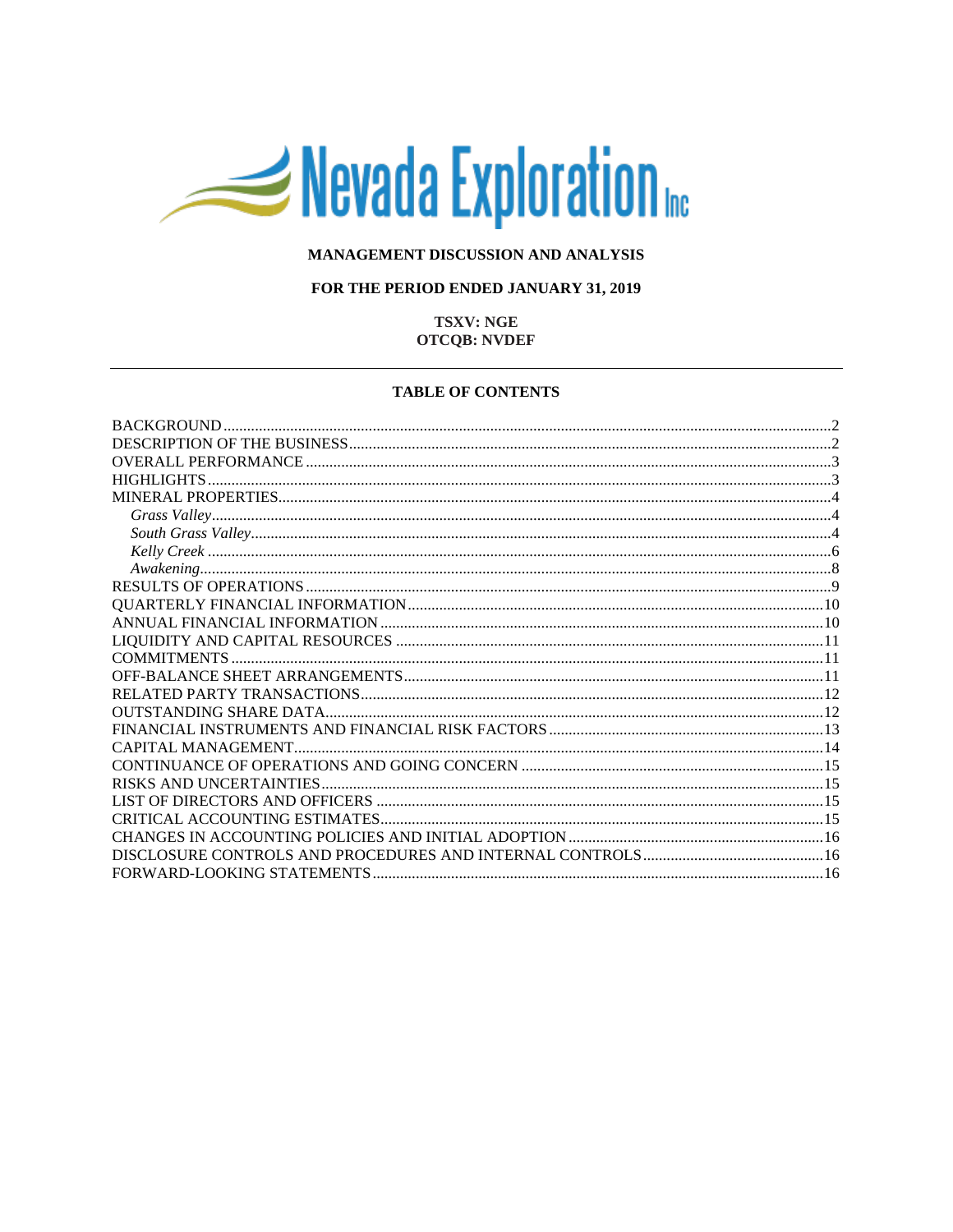# Nevada Exploration

## MANAGEMENT DISCUSSION AND ANALYSIS

## FOR THE PERIOD ENDED JANUARY 31, 2019

## **TSXV: NGE OTCQB: NVDEF**

#### **TABLE OF CONTENTS**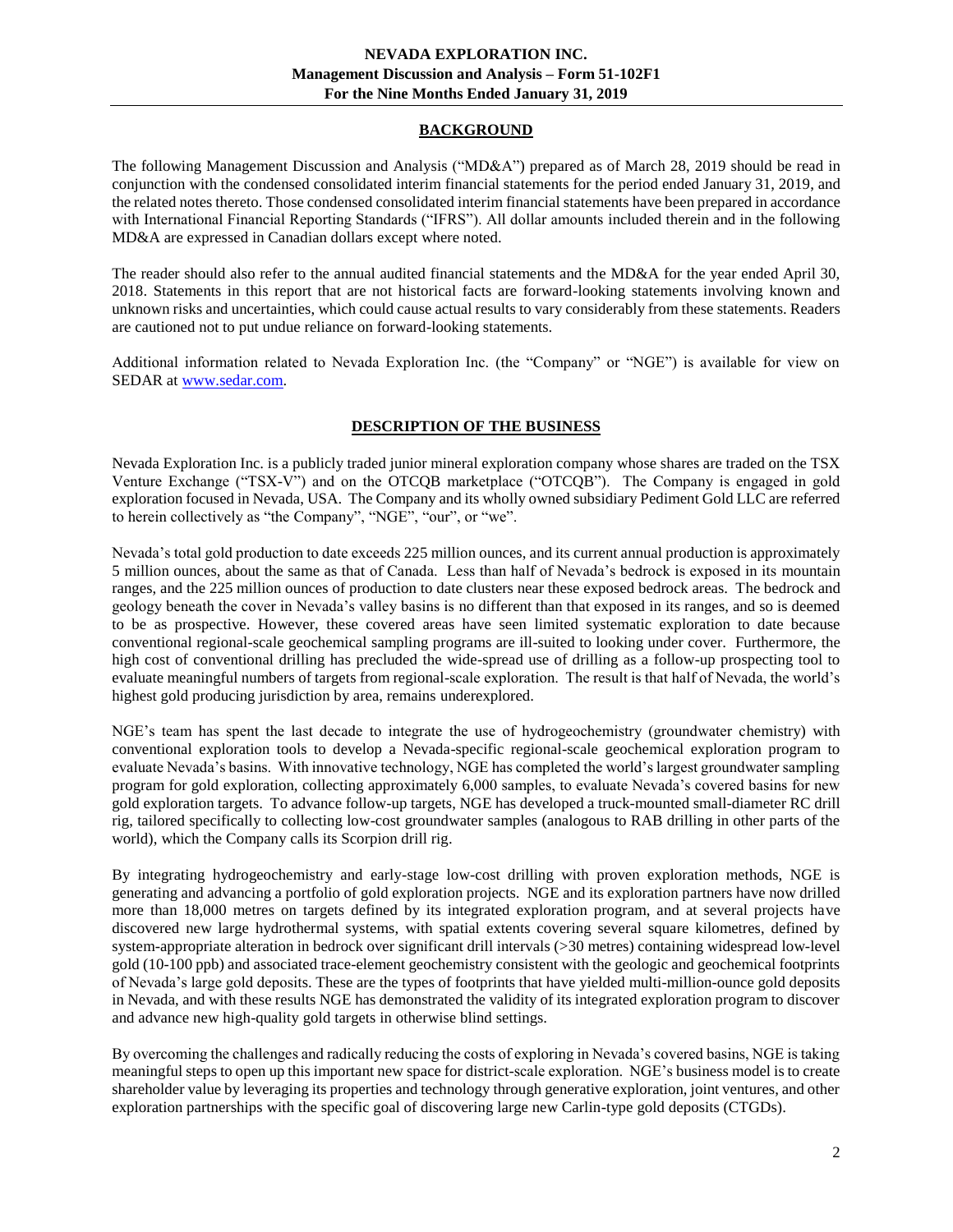## **BACKGROUND**

<span id="page-1-0"></span>The following Management Discussion and Analysis ("MD&A") prepared as of March 28, 2019 should be read in conjunction with the condensed consolidated interim financial statements for the period ended January 31, 2019, and the related notes thereto. Those condensed consolidated interim financial statements have been prepared in accordance with International Financial Reporting Standards ("IFRS"). All dollar amounts included therein and in the following MD&A are expressed in Canadian dollars except where noted.

The reader should also refer to the annual audited financial statements and the MD&A for the year ended April 30, 2018. Statements in this report that are not historical facts are forward-looking statements involving known and unknown risks and uncertainties, which could cause actual results to vary considerably from these statements. Readers are cautioned not to put undue reliance on forward-looking statements.

<span id="page-1-1"></span>Additional information related to Nevada Exploration Inc. (the "Company" or "NGE") is available for view on SEDAR at [www.sedar.com.](http://www.sedar.com/)

# **DESCRIPTION OF THE BUSINESS**

Nevada Exploration Inc. is a publicly traded junior mineral exploration company whose shares are traded on the TSX Venture Exchange ("TSX-V") and on the OTCQB marketplace ("OTCQB"). The Company is engaged in gold exploration focused in Nevada, USA. The Company and its wholly owned subsidiary Pediment Gold LLC are referred to herein collectively as "the Company", "NGE", "our", or "we".

Nevada's total gold production to date exceeds 225 million ounces, and its current annual production is approximately 5 million ounces, about the same as that of Canada. Less than half of Nevada's bedrock is exposed in its mountain ranges, and the 225 million ounces of production to date clusters near these exposed bedrock areas. The bedrock and geology beneath the cover in Nevada's valley basins is no different than that exposed in its ranges, and so is deemed to be as prospective. However, these covered areas have seen limited systematic exploration to date because conventional regional-scale geochemical sampling programs are ill-suited to looking under cover. Furthermore, the high cost of conventional drilling has precluded the wide-spread use of drilling as a follow-up prospecting tool to evaluate meaningful numbers of targets from regional-scale exploration. The result is that half of Nevada, the world's highest gold producing jurisdiction by area, remains underexplored.

NGE's team has spent the last decade to integrate the use of hydrogeochemistry (groundwater chemistry) with conventional exploration tools to develop a Nevada-specific regional-scale geochemical exploration program to evaluate Nevada's basins. With innovative technology, NGE has completed the world's largest groundwater sampling program for gold exploration, collecting approximately 6,000 samples, to evaluate Nevada's covered basins for new gold exploration targets. To advance follow-up targets, NGE has developed a truck-mounted small-diameter RC drill rig, tailored specifically to collecting low-cost groundwater samples (analogous to RAB drilling in other parts of the world), which the Company calls its Scorpion drill rig.

By integrating hydrogeochemistry and early-stage low-cost drilling with proven exploration methods, NGE is generating and advancing a portfolio of gold exploration projects. NGE and its exploration partners have now drilled more than 18,000 metres on targets defined by its integrated exploration program, and at several projects have discovered new large hydrothermal systems, with spatial extents covering several square kilometres, defined by system-appropriate alteration in bedrock over significant drill intervals (>30 metres) containing widespread low-level gold (10-100 ppb) and associated trace-element geochemistry consistent with the geologic and geochemical footprints of Nevada's large gold deposits. These are the types of footprints that have yielded multi-million-ounce gold deposits in Nevada, and with these results NGE has demonstrated the validity of its integrated exploration program to discover and advance new high-quality gold targets in otherwise blind settings.

By overcoming the challenges and radically reducing the costs of exploring in Nevada's covered basins, NGE is taking meaningful steps to open up this important new space for district-scale exploration. NGE's business model is to create shareholder value by leveraging its properties and technology through generative exploration, joint ventures, and other exploration partnerships with the specific goal of discovering large new Carlin-type gold deposits (CTGDs).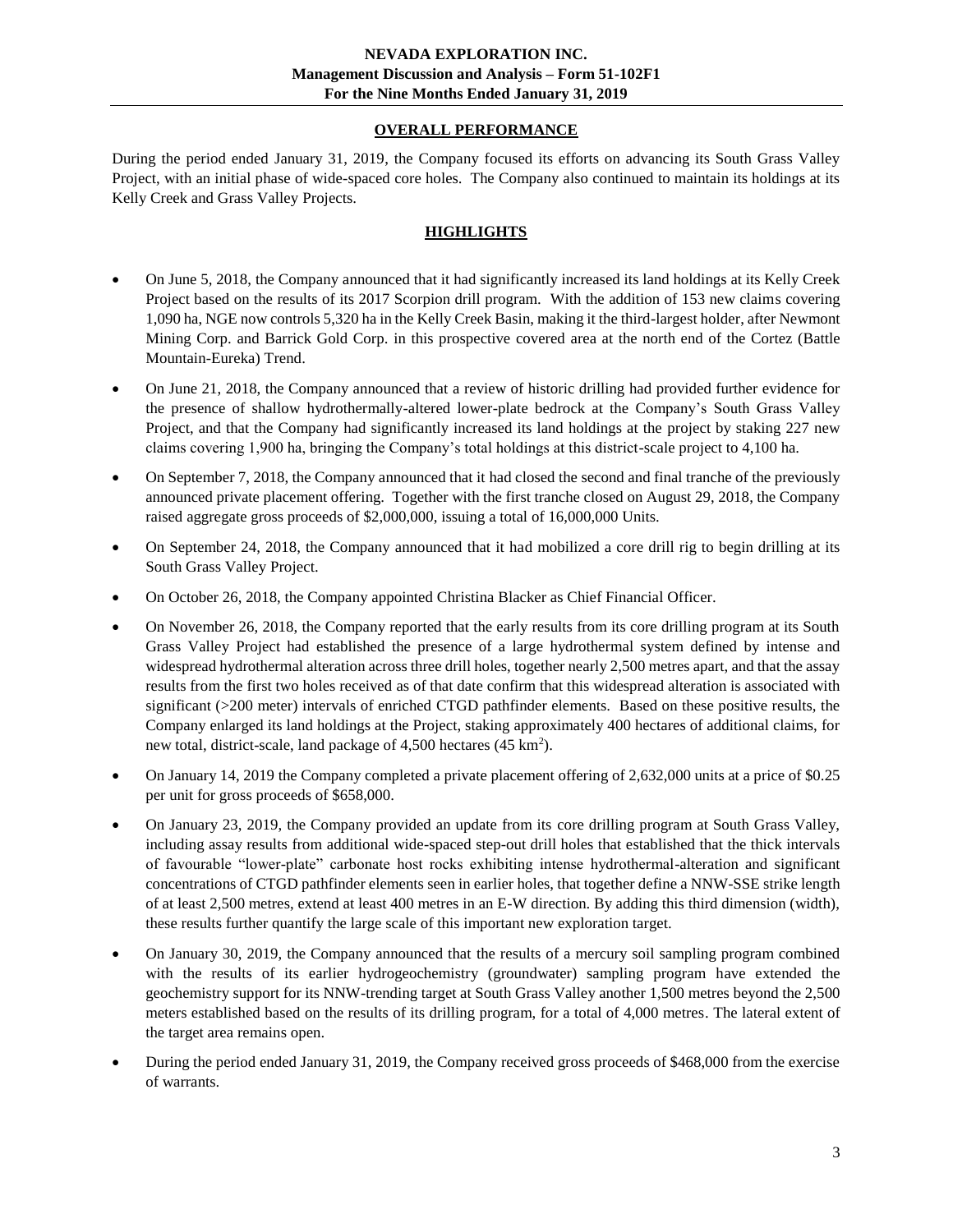# **OVERALL PERFORMANCE**

<span id="page-2-0"></span>During the period ended January 31, 2019, the Company focused its efforts on advancing its South Grass Valley Project, with an initial phase of wide-spaced core holes. The Company also continued to maintain its holdings at its Kelly Creek and Grass Valley Projects.

# **HIGHLIGHTS**

- <span id="page-2-1"></span>• On June 5, 2018, the Company announced that it had significantly increased its land holdings at its Kelly Creek Project based on the results of its 2017 Scorpion drill program. With the addition of 153 new claims covering 1,090 ha, NGE now controls 5,320 ha in the Kelly Creek Basin, making it the third-largest holder, after Newmont Mining Corp. and Barrick Gold Corp. in this prospective covered area at the north end of the Cortez (Battle Mountain-Eureka) Trend.
- On June 21, 2018, the Company announced that a review of historic drilling had provided further evidence for the presence of shallow hydrothermally-altered lower-plate bedrock at the Company's South Grass Valley Project, and that the Company had significantly increased its land holdings at the project by staking 227 new claims covering 1,900 ha, bringing the Company's total holdings at this district-scale project to 4,100 ha.
- On September 7, 2018, the Company announced that it had closed the second and final tranche of the previously announced private placement offering. Together with the first tranche closed on August 29, 2018, the Company raised aggregate gross proceeds of \$2,000,000, issuing a total of 16,000,000 Units.
- On September 24, 2018, the Company announced that it had mobilized a core drill rig to begin drilling at its South Grass Valley Project.
- On October 26, 2018, the Company appointed Christina Blacker as Chief Financial Officer.
- On November 26, 2018, the Company reported that the early results from its core drilling program at its South Grass Valley Project had established the presence of a large hydrothermal system defined by intense and widespread hydrothermal alteration across three drill holes, together nearly 2,500 metres apart, and that the assay results from the first two holes received as of that date confirm that this widespread alteration is associated with significant (>200 meter) intervals of enriched CTGD pathfinder elements. Based on these positive results, the Company enlarged its land holdings at the Project, staking approximately 400 hectares of additional claims, for new total, district-scale, land package of 4,500 hectares (45 km<sup>2</sup>).
- On January 14, 2019 the Company completed a private placement offering of 2,632,000 units at a price of \$0.25 per unit for gross proceeds of \$658,000.
- On January 23, 2019, the Company provided an update from its core drilling program at South Grass Valley, including assay results from additional wide-spaced step-out drill holes that established that the thick intervals of favourable "lower-plate" carbonate host rocks exhibiting intense hydrothermal-alteration and significant concentrations of CTGD pathfinder elements seen in earlier holes, that together define a NNW-SSE strike length of at least 2,500 metres, extend at least 400 metres in an E-W direction. By adding this third dimension (width), these results further quantify the large scale of this important new exploration target.
- On January 30, 2019, the Company announced that the results of a mercury soil sampling program combined with the results of its earlier hydrogeochemistry (groundwater) sampling program have extended the geochemistry support for its NNW-trending target at South Grass Valley another 1,500 metres beyond the 2,500 meters established based on the results of its drilling program, for a total of 4,000 metres. The lateral extent of the target area remains open.
- During the period ended January 31, 2019, the Company received gross proceeds of \$468,000 from the exercise of warrants.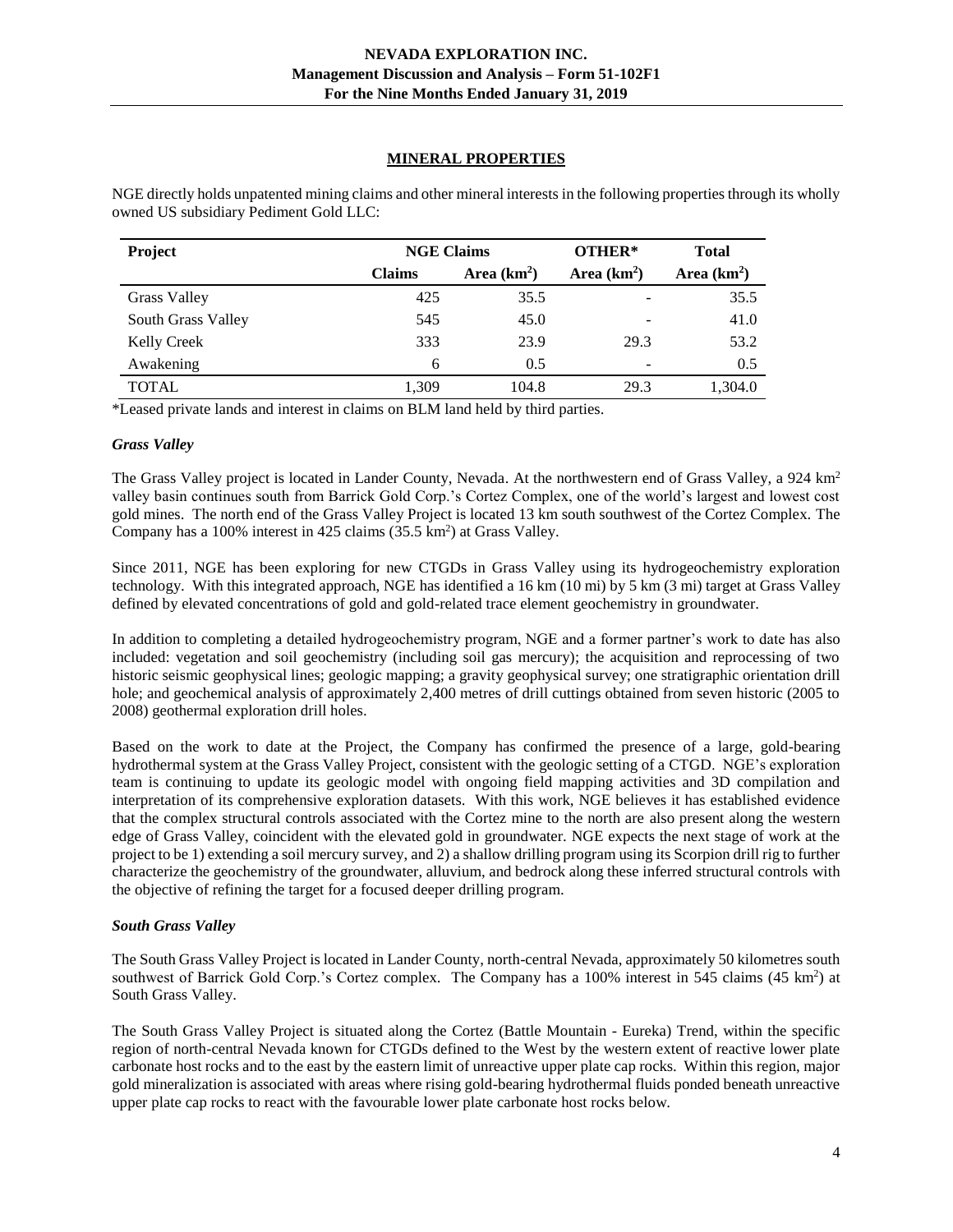## **MINERAL PROPERTIES**

| Project             | <b>NGE Claims</b> |              | OTHER*                   | <b>Total</b> |
|---------------------|-------------------|--------------|--------------------------|--------------|
|                     | <b>Claims</b>     | Area $(km2)$ | Area $(km2)$             | Area $(km2)$ |
| <b>Grass Valley</b> | 425               | 35.5         | -                        | 35.5         |
| South Grass Valley  | 545               | 45.0         |                          | 41.0         |
| <b>Kelly Creek</b>  | 333               | 23.9         | 29.3                     | 53.2         |
| Awakening           | 6                 | 0.5          | $\overline{\phantom{a}}$ | 0.5          |
| <b>TOTAL</b>        | 1.309             | 104.8        | 29.3                     | 1,304.0      |

<span id="page-3-0"></span>NGE directly holds unpatented mining claims and other mineral interests in the following properties through its wholly owned US subsidiary Pediment Gold LLC:

\*Leased private lands and interest in claims on BLM land held by third parties.

## <span id="page-3-1"></span>*Grass Valley*

The Grass Valley project is located in Lander County, Nevada. At the northwestern end of Grass Valley, a 924 km<sup>2</sup> valley basin continues south from Barrick Gold Corp.'s Cortez Complex, one of the world's largest and lowest cost gold mines. The north end of the Grass Valley Project is located 13 km south southwest of the Cortez Complex. The Company has a 100% interest in 425 claims  $(35.5 \text{ km}^2)$  at Grass Valley.

Since 2011, NGE has been exploring for new CTGDs in Grass Valley using its hydrogeochemistry exploration technology. With this integrated approach, NGE has identified a 16 km (10 mi) by 5 km (3 mi) target at Grass Valley defined by elevated concentrations of gold and gold-related trace element geochemistry in groundwater.

In addition to completing a detailed hydrogeochemistry program, NGE and a former partner's work to date has also included: vegetation and soil geochemistry (including soil gas mercury); the acquisition and reprocessing of two historic seismic geophysical lines; geologic mapping; a gravity geophysical survey; one stratigraphic orientation drill hole; and geochemical analysis of approximately 2,400 metres of drill cuttings obtained from seven historic (2005 to 2008) geothermal exploration drill holes.

Based on the work to date at the Project, the Company has confirmed the presence of a large, gold-bearing hydrothermal system at the Grass Valley Project, consistent with the geologic setting of a CTGD. NGE's exploration team is continuing to update its geologic model with ongoing field mapping activities and 3D compilation and interpretation of its comprehensive exploration datasets. With this work, NGE believes it has established evidence that the complex structural controls associated with the Cortez mine to the north are also present along the western edge of Grass Valley, coincident with the elevated gold in groundwater. NGE expects the next stage of work at the project to be 1) extending a soil mercury survey, and 2) a shallow drilling program using its Scorpion drill rig to further characterize the geochemistry of the groundwater, alluvium, and bedrock along these inferred structural controls with the objective of refining the target for a focused deeper drilling program.

## <span id="page-3-2"></span>*South Grass Valley*

The South Grass Valley Project is located in Lander County, north-central Nevada, approximately 50 kilometres south southwest of Barrick Gold Corp.'s Cortez complex. The Company has a 100% interest in 545 claims (45 km<sup>2</sup>) at South Grass Valley.

The South Grass Valley Project is situated along the Cortez (Battle Mountain - Eureka) Trend, within the specific region of north-central Nevada known for CTGDs defined to the West by the western extent of reactive lower plate carbonate host rocks and to the east by the eastern limit of unreactive upper plate cap rocks. Within this region, major gold mineralization is associated with areas where rising gold-bearing hydrothermal fluids ponded beneath unreactive upper plate cap rocks to react with the favourable lower plate carbonate host rocks below.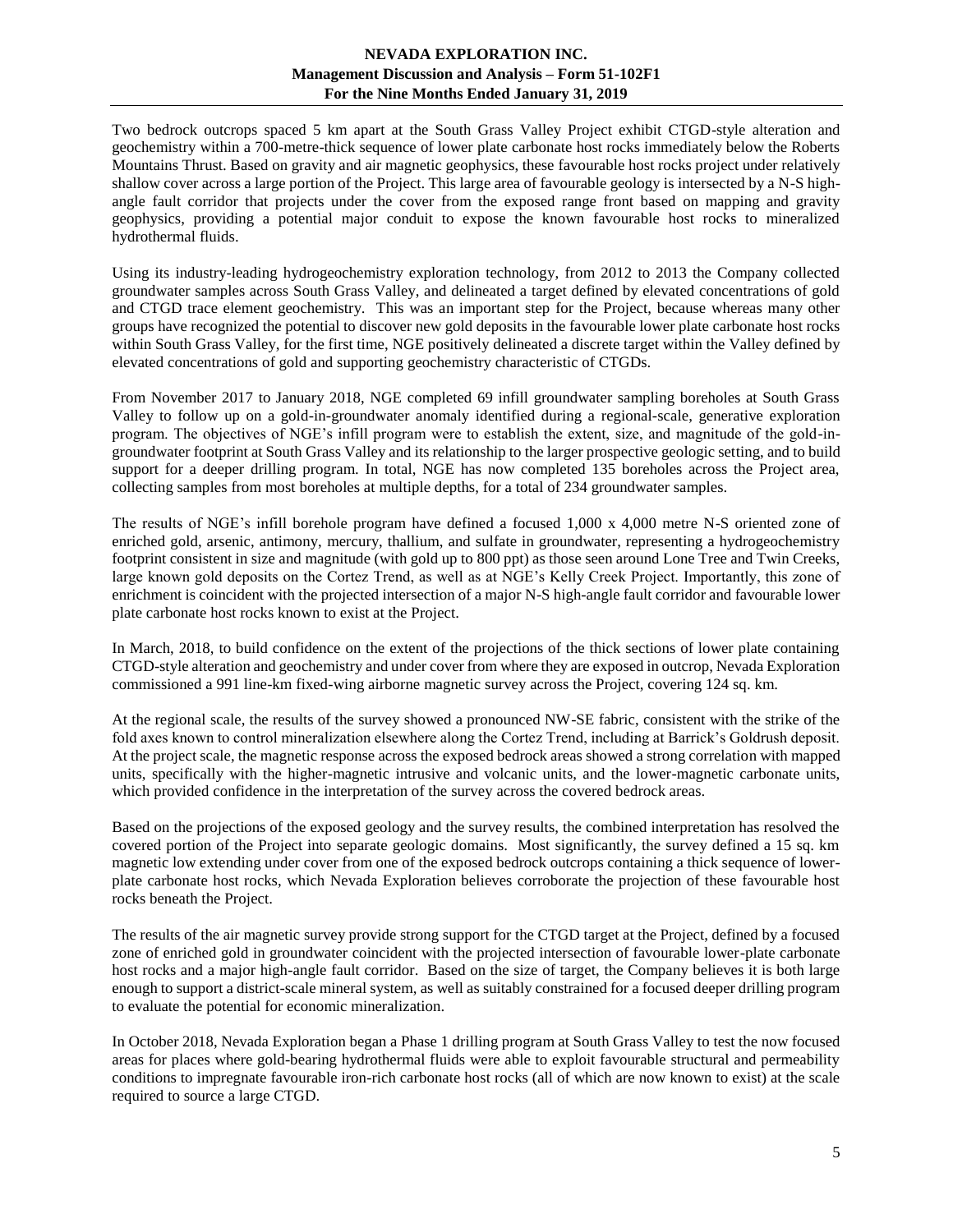## **NEVADA EXPLORATION INC. Management Discussion and Analysis – Form 51-102F1 For the Nine Months Ended January 31, 2019**

Two bedrock outcrops spaced 5 km apart at the South Grass Valley Project exhibit CTGD-style alteration and geochemistry within a 700-metre-thick sequence of lower plate carbonate host rocks immediately below the Roberts Mountains Thrust. Based on gravity and air magnetic geophysics, these favourable host rocks project under relatively shallow cover across a large portion of the Project. This large area of favourable geology is intersected by a N-S highangle fault corridor that projects under the cover from the exposed range front based on mapping and gravity geophysics, providing a potential major conduit to expose the known favourable host rocks to mineralized hydrothermal fluids.

Using its industry-leading hydrogeochemistry exploration technology, from 2012 to 2013 the Company collected groundwater samples across South Grass Valley, and delineated a target defined by elevated concentrations of gold and CTGD trace element geochemistry. This was an important step for the Project, because whereas many other groups have recognized the potential to discover new gold deposits in the favourable lower plate carbonate host rocks within South Grass Valley, for the first time, NGE positively delineated a discrete target within the Valley defined by elevated concentrations of gold and supporting geochemistry characteristic of CTGDs.

From November 2017 to January 2018, NGE completed 69 infill groundwater sampling boreholes at South Grass Valley to follow up on a gold-in-groundwater anomaly identified during a regional-scale, generative exploration program. The objectives of NGE's infill program were to establish the extent, size, and magnitude of the gold-ingroundwater footprint at South Grass Valley and its relationship to the larger prospective geologic setting, and to build support for a deeper drilling program. In total, NGE has now completed 135 boreholes across the Project area, collecting samples from most boreholes at multiple depths, for a total of 234 groundwater samples.

The results of NGE's infill borehole program have defined a focused 1,000 x 4,000 metre N-S oriented zone of enriched gold, arsenic, antimony, mercury, thallium, and sulfate in groundwater, representing a hydrogeochemistry footprint consistent in size and magnitude (with gold up to 800 ppt) as those seen around Lone Tree and Twin Creeks, large known gold deposits on the Cortez Trend, as well as at NGE's Kelly Creek Project. Importantly, this zone of enrichment is coincident with the projected intersection of a major N-S high-angle fault corridor and favourable lower plate carbonate host rocks known to exist at the Project.

In March, 2018, to build confidence on the extent of the projections of the thick sections of lower plate containing CTGD-style alteration and geochemistry and under cover from where they are exposed in outcrop, Nevada Exploration commissioned a 991 line-km fixed-wing airborne magnetic survey across the Project, covering 124 sq. km.

At the regional scale, the results of the survey showed a pronounced NW-SE fabric, consistent with the strike of the fold axes known to control mineralization elsewhere along the Cortez Trend, including at Barrick's Goldrush deposit. At the project scale, the magnetic response across the exposed bedrock areas showed a strong correlation with mapped units, specifically with the higher-magnetic intrusive and volcanic units, and the lower-magnetic carbonate units, which provided confidence in the interpretation of the survey across the covered bedrock areas.

Based on the projections of the exposed geology and the survey results, the combined interpretation has resolved the covered portion of the Project into separate geologic domains. Most significantly, the survey defined a 15 sq. km magnetic low extending under cover from one of the exposed bedrock outcrops containing a thick sequence of lowerplate carbonate host rocks, which Nevada Exploration believes corroborate the projection of these favourable host rocks beneath the Project.

The results of the air magnetic survey provide strong support for the CTGD target at the Project, defined by a focused zone of enriched gold in groundwater coincident with the projected intersection of favourable lower-plate carbonate host rocks and a major high-angle fault corridor. Based on the size of target, the Company believes it is both large enough to support a district-scale mineral system, as well as suitably constrained for a focused deeper drilling program to evaluate the potential for economic mineralization.

In October 2018, Nevada Exploration began a Phase 1 drilling program at South Grass Valley to test the now focused areas for places where gold-bearing hydrothermal fluids were able to exploit favourable structural and permeability conditions to impregnate favourable iron-rich carbonate host rocks (all of which are now known to exist) at the scale required to source a large CTGD.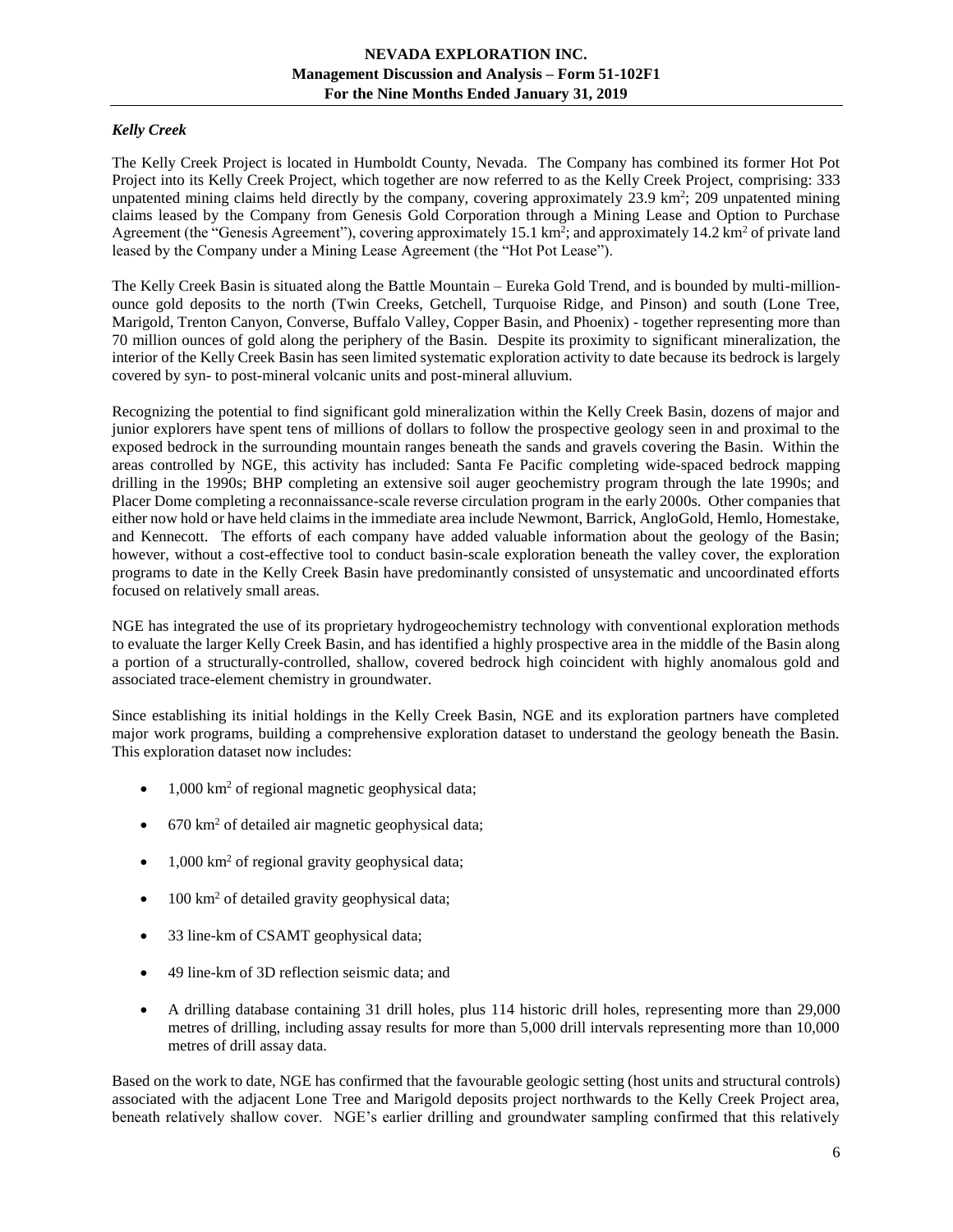# <span id="page-5-0"></span>*Kelly Creek*

The Kelly Creek Project is located in Humboldt County, Nevada. The Company has combined its former Hot Pot Project into its Kelly Creek Project, which together are now referred to as the Kelly Creek Project, comprising: 333 unpatented mining claims held directly by the company, covering approximately 23.9 km<sup>2</sup>; 209 unpatented mining claims leased by the Company from Genesis Gold Corporation through a Mining Lease and Option to Purchase Agreement (the "Genesis Agreement"), covering approximately 15.1 km<sup>2</sup>; and approximately 14.2 km<sup>2</sup> of private land leased by the Company under a Mining Lease Agreement (the "Hot Pot Lease").

The Kelly Creek Basin is situated along the Battle Mountain – Eureka Gold Trend, and is bounded by multi-millionounce gold deposits to the north (Twin Creeks, Getchell, Turquoise Ridge, and Pinson) and south (Lone Tree, Marigold, Trenton Canyon, Converse, Buffalo Valley, Copper Basin, and Phoenix) - together representing more than 70 million ounces of gold along the periphery of the Basin. Despite its proximity to significant mineralization, the interior of the Kelly Creek Basin has seen limited systematic exploration activity to date because its bedrock is largely covered by syn- to post-mineral volcanic units and post-mineral alluvium.

Recognizing the potential to find significant gold mineralization within the Kelly Creek Basin, dozens of major and junior explorers have spent tens of millions of dollars to follow the prospective geology seen in and proximal to the exposed bedrock in the surrounding mountain ranges beneath the sands and gravels covering the Basin. Within the areas controlled by NGE, this activity has included: Santa Fe Pacific completing wide-spaced bedrock mapping drilling in the 1990s; BHP completing an extensive soil auger geochemistry program through the late 1990s; and Placer Dome completing a reconnaissance-scale reverse circulation program in the early 2000s. Other companies that either now hold or have held claims in the immediate area include Newmont, Barrick, AngloGold, Hemlo, Homestake, and Kennecott. The efforts of each company have added valuable information about the geology of the Basin; however, without a cost-effective tool to conduct basin-scale exploration beneath the valley cover, the exploration programs to date in the Kelly Creek Basin have predominantly consisted of unsystematic and uncoordinated efforts focused on relatively small areas.

NGE has integrated the use of its proprietary hydrogeochemistry technology with conventional exploration methods to evaluate the larger Kelly Creek Basin, and has identified a highly prospective area in the middle of the Basin along a portion of a structurally-controlled, shallow, covered bedrock high coincident with highly anomalous gold and associated trace-element chemistry in groundwater.

Since establishing its initial holdings in the Kelly Creek Basin, NGE and its exploration partners have completed major work programs, building a comprehensive exploration dataset to understand the geology beneath the Basin. This exploration dataset now includes:

- $1,000 \text{ km}^2$  of regional magnetic geophysical data;
- $670 \text{ km}^2$  of detailed air magnetic geophysical data;
- 1,000 km<sup>2</sup> of regional gravity geophysical data;
- $\bullet$  100 km<sup>2</sup> of detailed gravity geophysical data;
- 33 line-km of CSAMT geophysical data;
- 49 line-km of 3D reflection seismic data; and
- A drilling database containing 31 drill holes, plus 114 historic drill holes, representing more than 29,000 metres of drilling, including assay results for more than 5,000 drill intervals representing more than 10,000 metres of drill assay data.

Based on the work to date, NGE has confirmed that the favourable geologic setting (host units and structural controls) associated with the adjacent Lone Tree and Marigold deposits project northwards to the Kelly Creek Project area, beneath relatively shallow cover. NGE's earlier drilling and groundwater sampling confirmed that this relatively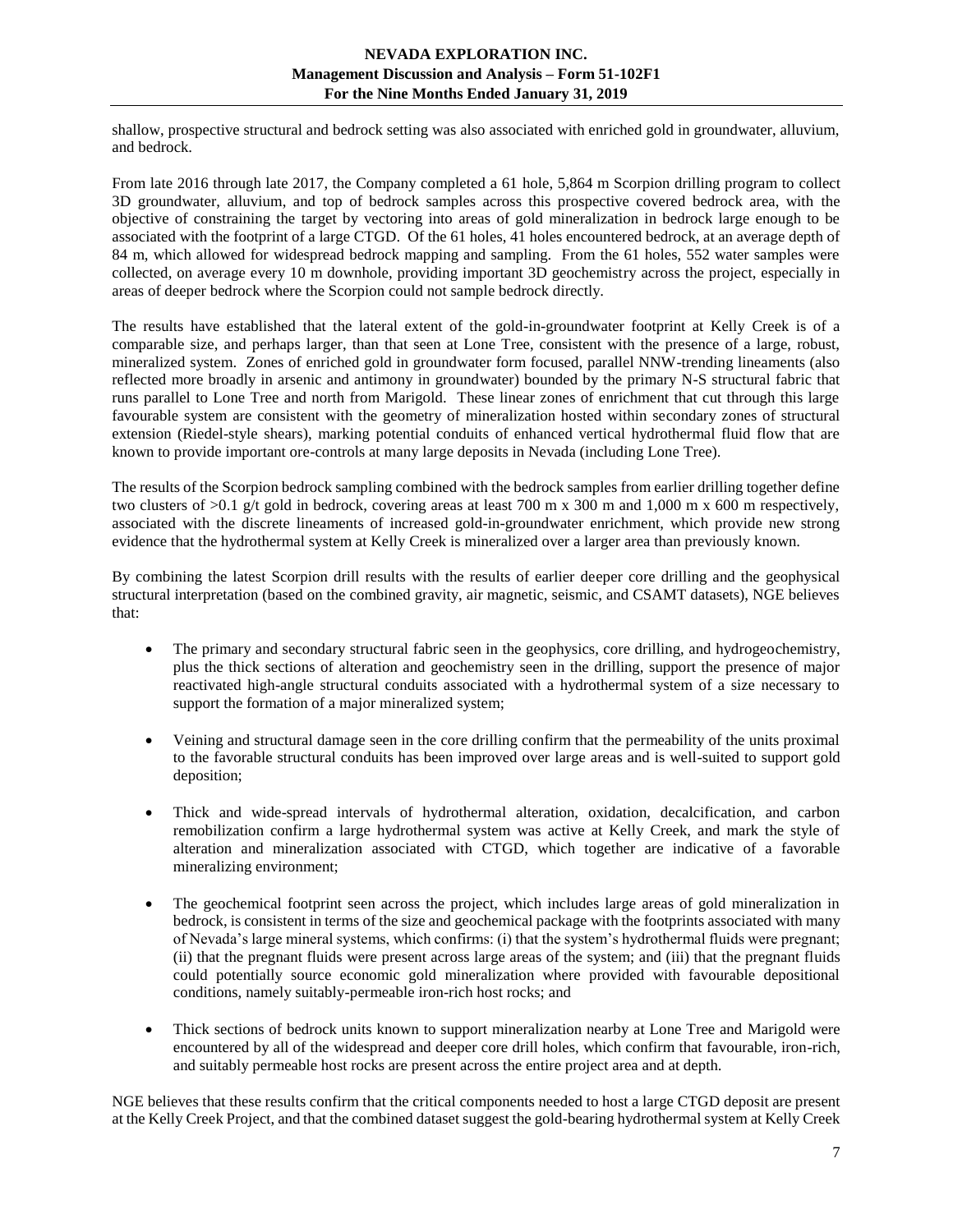shallow, prospective structural and bedrock setting was also associated with enriched gold in groundwater, alluvium, and bedrock.

From late 2016 through late 2017, the Company completed a 61 hole, 5,864 m Scorpion drilling program to collect 3D groundwater, alluvium, and top of bedrock samples across this prospective covered bedrock area, with the objective of constraining the target by vectoring into areas of gold mineralization in bedrock large enough to be associated with the footprint of a large CTGD. Of the 61 holes, 41 holes encountered bedrock, at an average depth of 84 m, which allowed for widespread bedrock mapping and sampling. From the 61 holes, 552 water samples were collected, on average every 10 m downhole, providing important 3D geochemistry across the project, especially in areas of deeper bedrock where the Scorpion could not sample bedrock directly.

The results have established that the lateral extent of the gold-in-groundwater footprint at Kelly Creek is of a comparable size, and perhaps larger, than that seen at Lone Tree, consistent with the presence of a large, robust, mineralized system. Zones of enriched gold in groundwater form focused, parallel NNW-trending lineaments (also reflected more broadly in arsenic and antimony in groundwater) bounded by the primary N-S structural fabric that runs parallel to Lone Tree and north from Marigold. These linear zones of enrichment that cut through this large favourable system are consistent with the geometry of mineralization hosted within secondary zones of structural extension (Riedel-style shears), marking potential conduits of enhanced vertical hydrothermal fluid flow that are known to provide important ore-controls at many large deposits in Nevada (including Lone Tree).

The results of the Scorpion bedrock sampling combined with the bedrock samples from earlier drilling together define two clusters of >0.1 g/t gold in bedrock, covering areas at least 700 m x 300 m and 1,000 m x 600 m respectively, associated with the discrete lineaments of increased gold-in-groundwater enrichment, which provide new strong evidence that the hydrothermal system at Kelly Creek is mineralized over a larger area than previously known.

By combining the latest Scorpion drill results with the results of earlier deeper core drilling and the geophysical structural interpretation (based on the combined gravity, air magnetic, seismic, and CSAMT datasets), NGE believes that:

- The primary and secondary structural fabric seen in the geophysics, core drilling, and hydrogeochemistry, plus the thick sections of alteration and geochemistry seen in the drilling, support the presence of major reactivated high-angle structural conduits associated with a hydrothermal system of a size necessary to support the formation of a major mineralized system;
- Veining and structural damage seen in the core drilling confirm that the permeability of the units proximal to the favorable structural conduits has been improved over large areas and is well-suited to support gold deposition;
- Thick and wide-spread intervals of hydrothermal alteration, oxidation, decalcification, and carbon remobilization confirm a large hydrothermal system was active at Kelly Creek, and mark the style of alteration and mineralization associated with CTGD, which together are indicative of a favorable mineralizing environment;
- The geochemical footprint seen across the project, which includes large areas of gold mineralization in bedrock, is consistent in terms of the size and geochemical package with the footprints associated with many of Nevada's large mineral systems, which confirms: (i) that the system's hydrothermal fluids were pregnant; (ii) that the pregnant fluids were present across large areas of the system; and (iii) that the pregnant fluids could potentially source economic gold mineralization where provided with favourable depositional conditions, namely suitably-permeable iron-rich host rocks; and
- Thick sections of bedrock units known to support mineralization nearby at Lone Tree and Marigold were encountered by all of the widespread and deeper core drill holes, which confirm that favourable, iron-rich, and suitably permeable host rocks are present across the entire project area and at depth.

NGE believes that these results confirm that the critical components needed to host a large CTGD deposit are present at the Kelly Creek Project, and that the combined dataset suggest the gold-bearing hydrothermal system at Kelly Creek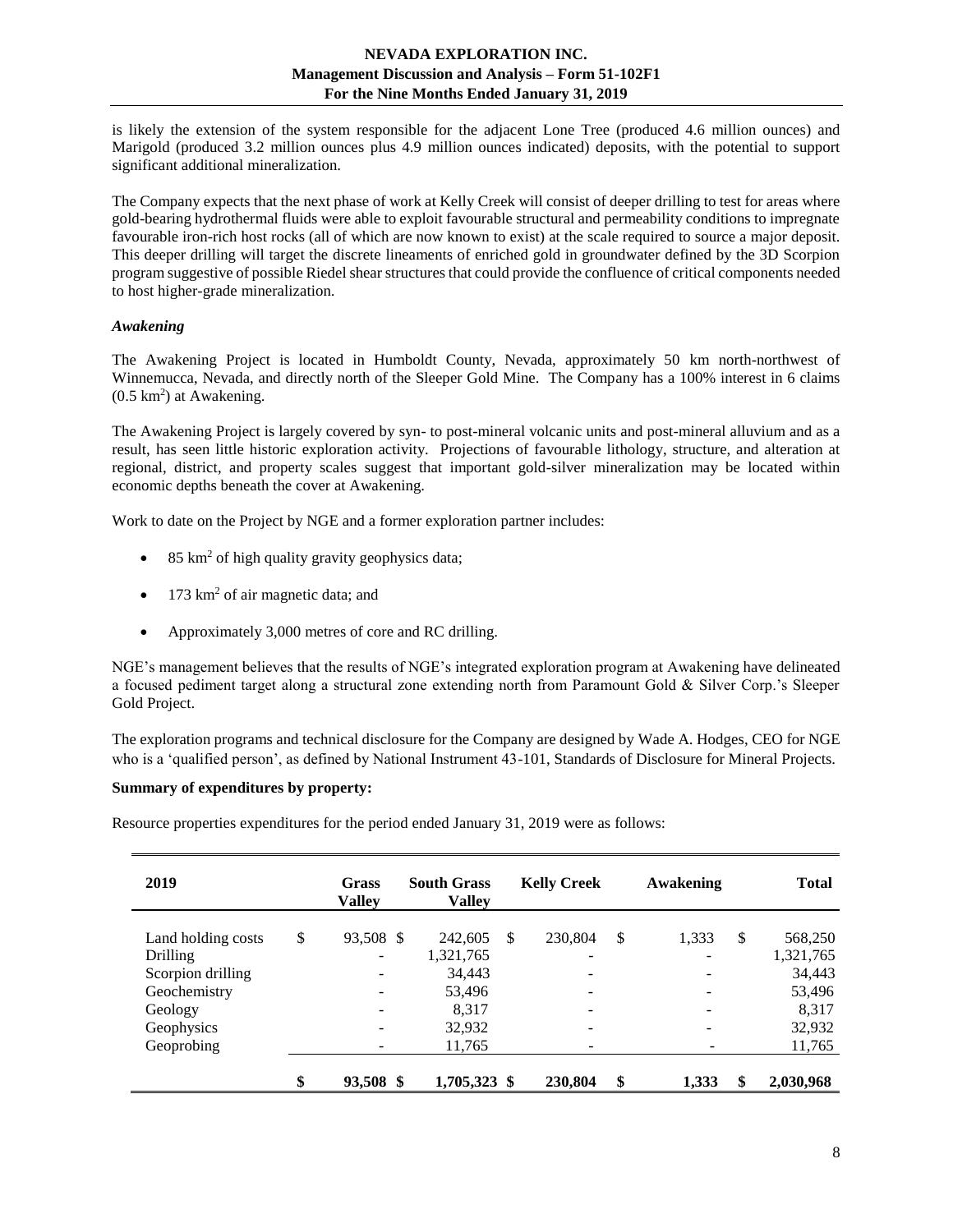is likely the extension of the system responsible for the adjacent Lone Tree (produced 4.6 million ounces) and Marigold (produced 3.2 million ounces plus 4.9 million ounces indicated) deposits, with the potential to support significant additional mineralization.

The Company expects that the next phase of work at Kelly Creek will consist of deeper drilling to test for areas where gold-bearing hydrothermal fluids were able to exploit favourable structural and permeability conditions to impregnate favourable iron-rich host rocks (all of which are now known to exist) at the scale required to source a major deposit. This deeper drilling will target the discrete lineaments of enriched gold in groundwater defined by the 3D Scorpion program suggestive of possible Riedel shear structures that could provide the confluence of critical components needed to host higher-grade mineralization.

## <span id="page-7-0"></span>*Awakening*

The Awakening Project is located in Humboldt County, Nevada, approximately 50 km north-northwest of Winnemucca, Nevada, and directly north of the Sleeper Gold Mine. The Company has a 100% interest in 6 claims  $(0.5 \text{ km}^2)$  at Awakening.

The Awakening Project is largely covered by syn- to post-mineral volcanic units and post-mineral alluvium and as a result, has seen little historic exploration activity. Projections of favourable lithology, structure, and alteration at regional, district, and property scales suggest that important gold-silver mineralization may be located within economic depths beneath the cover at Awakening.

Work to date on the Project by NGE and a former exploration partner includes:

- 85 km<sup>2</sup> of high quality gravity geophysics data;
- 173 km<sup>2</sup> of air magnetic data; and
- Approximately 3,000 metres of core and RC drilling.

NGE's management believes that the results of NGE's integrated exploration program at Awakening have delineated a focused pediment target along a structural zone extending north from Paramount Gold & Silver Corp.'s Sleeper Gold Project.

The exploration programs and technical disclosure for the Company are designed by Wade A. Hodges, CEO for NGE who is a 'qualified person', as defined by National Instrument 43-101, Standards of Disclosure for Mineral Projects.

## **Summary of expenditures by property:**

Resource properties expenditures for the period ended January 31, 2019 were as follows:

| 2019               | Grass<br><b>Valley</b>   | <b>South Grass</b><br><b>Valley</b> |               | <b>Kelly Creek</b>       | Awakening   | <b>Total</b>    |
|--------------------|--------------------------|-------------------------------------|---------------|--------------------------|-------------|-----------------|
| Land holding costs | \$<br>93,508 \$          | 242,605                             | <sup>\$</sup> | 230,804                  | \$<br>1,333 | \$<br>568,250   |
| <b>Drilling</b>    | $\overline{\phantom{0}}$ | 1,321,765                           |               | -                        |             | 1,321,765       |
| Scorpion drilling  |                          | 34,443                              |               | $\overline{\phantom{a}}$ |             | 34,443          |
| Geochemistry       | $\overline{\phantom{a}}$ | 53,496                              |               | $\overline{\phantom{a}}$ |             | 53,496          |
| Geology            |                          | 8.317                               |               | -                        |             | 8,317           |
| Geophysics         |                          | 32,932                              |               | -                        |             | 32,932          |
| Geoprobing         |                          | 11,765                              |               | ۰                        |             | 11,765          |
|                    | \$<br>93,508 \$          | 1,705,323 \$                        |               | 230,804                  | \$<br>1,333 | \$<br>2,030,968 |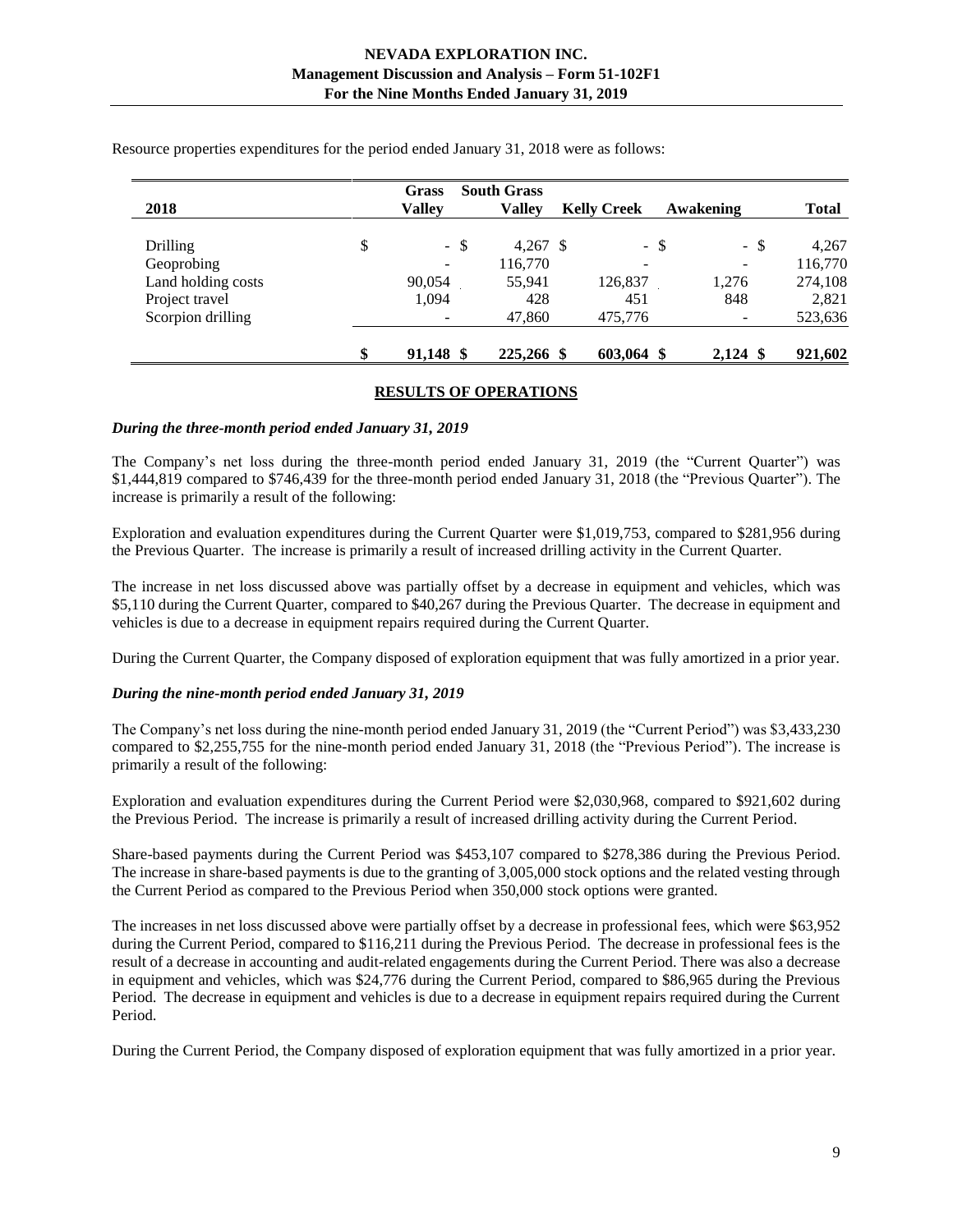|                    | <b>Grass</b>    | <b>South Grass</b>  |                          |                |              |
|--------------------|-----------------|---------------------|--------------------------|----------------|--------------|
| 2018               | <b>Valley</b>   | <b>Valley</b>       | <b>Kelly Creek</b>       | Awakening      | <b>Total</b> |
|                    |                 |                     |                          |                |              |
| Drilling           | \$<br>$-$ \$    | 4,267 $\frac{1}{2}$ |                          | $-$ \$<br>- \$ | 4.267        |
| Geoprobing         |                 | 116,770             | $\overline{\phantom{0}}$ |                | 116,770      |
| Land holding costs | 90,054          | 55,941              | 126,837                  | 1,276          | 274,108      |
| Project travel     | 1,094           | 428                 | 451                      | 848            | 2,821        |
| Scorpion drilling  |                 | 47,860              | 475,776                  |                | 523,636      |
|                    | \$<br>91,148 \$ | 225,266 \$          | 603,064 \$               | $2,124$ \$     | 921,602      |

Resource properties expenditures for the period ended January 31, 2018 were as follows:

#### **RESULTS OF OPERATIONS**

#### <span id="page-8-0"></span>*During the three-month period ended January 31, 2019*

The Company's net loss during the three-month period ended January 31, 2019 (the "Current Quarter") was \$1,444,819 compared to \$746,439 for the three-month period ended January 31, 2018 (the "Previous Quarter"). The increase is primarily a result of the following:

Exploration and evaluation expenditures during the Current Quarter were \$1,019,753, compared to \$281,956 during the Previous Quarter. The increase is primarily a result of increased drilling activity in the Current Quarter.

The increase in net loss discussed above was partially offset by a decrease in equipment and vehicles, which was \$5,110 during the Current Quarter, compared to \$40,267 during the Previous Quarter. The decrease in equipment and vehicles is due to a decrease in equipment repairs required during the Current Quarter.

During the Current Quarter, the Company disposed of exploration equipment that was fully amortized in a prior year.

#### *During the nine-month period ended January 31, 2019*

The Company's net loss during the nine-month period ended January 31, 2019 (the "Current Period") was \$3,433,230 compared to \$2,255,755 for the nine-month period ended January 31, 2018 (the "Previous Period"). The increase is primarily a result of the following:

Exploration and evaluation expenditures during the Current Period were \$2,030,968, compared to \$921,602 during the Previous Period. The increase is primarily a result of increased drilling activity during the Current Period.

Share-based payments during the Current Period was \$453,107 compared to \$278,386 during the Previous Period. The increase in share-based payments is due to the granting of 3,005,000 stock options and the related vesting through the Current Period as compared to the Previous Period when 350,000 stock options were granted.

The increases in net loss discussed above were partially offset by a decrease in professional fees, which were \$63,952 during the Current Period, compared to \$116,211 during the Previous Period. The decrease in professional fees is the result of a decrease in accounting and audit-related engagements during the Current Period. There was also a decrease in equipment and vehicles, which was \$24,776 during the Current Period, compared to \$86,965 during the Previous Period. The decrease in equipment and vehicles is due to a decrease in equipment repairs required during the Current Period.

During the Current Period, the Company disposed of exploration equipment that was fully amortized in a prior year.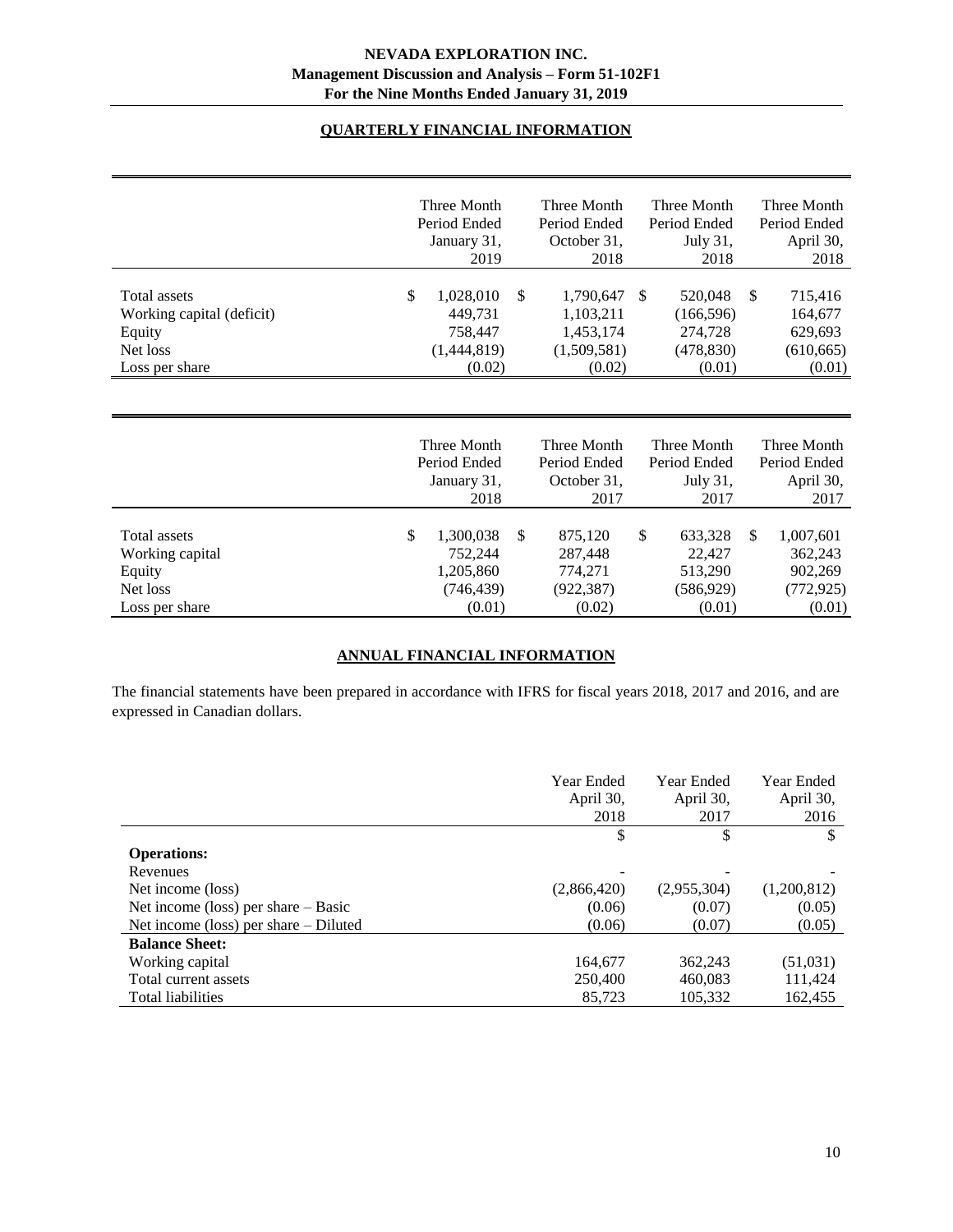# **QUARTERLY FINANCIAL INFORMATION**

<span id="page-9-0"></span>

|                                                                                   | Three Month<br>Period Ended<br>January 31,<br>2019             |   | Three Month<br>Period Ended<br>October 31,<br>2018           |    | Three Month<br>Period Ended<br>July 31,<br>2018          |     | Three Month<br>Period Ended<br>April 30,<br>2018      |
|-----------------------------------------------------------------------------------|----------------------------------------------------------------|---|--------------------------------------------------------------|----|----------------------------------------------------------|-----|-------------------------------------------------------|
| Total assets<br>Working capital (deficit)<br>Equity<br>Net loss<br>Loss per share | \$<br>1,028,010<br>449.731<br>758,447<br>(1,444,819)<br>(0.02) | S | 1,790,647<br>1,103,211<br>1,453,174<br>(1,509,581)<br>(0.02) | -S | 520,048<br>(166, 596)<br>274,728<br>(478, 830)<br>(0.01) | -\$ | 715,416<br>164,677<br>629,693<br>(610, 665)<br>(0.01) |

|                                                                         | Three Month<br>Period Ended<br>January 31,<br>2018              |   | Three Month<br>Period Ended<br>October 31,<br>2017    | Three Month<br>Period Ended<br>July 31,<br>2017            |     | Three Month<br>Period Ended<br>April 30,<br>2017        |
|-------------------------------------------------------------------------|-----------------------------------------------------------------|---|-------------------------------------------------------|------------------------------------------------------------|-----|---------------------------------------------------------|
| Total assets<br>Working capital<br>Equity<br>Net loss<br>Loss per share | \$<br>1,300,038<br>752,244<br>1,205,860<br>(746, 439)<br>(0.01) | S | 875,120<br>287,448<br>774.271<br>(922, 387)<br>(0.02) | \$<br>633,328<br>22,427<br>513,290<br>(586, 929)<br>(0.01) | \$. | 1,007,601<br>362,243<br>902,269<br>(772, 925)<br>(0.01) |

# **ANNUAL FINANCIAL INFORMATION**

<span id="page-9-1"></span>The financial statements have been prepared in accordance with IFRS for fiscal years 2018, 2017 and 2016, and are expressed in Canadian dollars.

<span id="page-9-2"></span>

|                                         | Year Ended<br>April 30, | Year Ended<br>April 30, | Year Ended<br>April 30, |
|-----------------------------------------|-------------------------|-------------------------|-------------------------|
|                                         | 2018                    | 2017                    | 2016                    |
|                                         | \$                      | \$                      | $\mathbb{S}$            |
| <b>Operations:</b>                      |                         |                         |                         |
| Revenues                                |                         |                         |                         |
| Net income (loss)                       | (2,866,420)             | (2,955,304)             | (1,200,812)             |
| Net income (loss) per share $-$ Basic   | (0.06)                  | (0.07)                  | (0.05)                  |
| Net income (loss) per share $-$ Diluted | (0.06)                  | (0.07)                  | (0.05)                  |
| <b>Balance Sheet:</b>                   |                         |                         |                         |
| Working capital                         | 164,677                 | 362,243                 | (51,031)                |
| Total current assets                    | 250,400                 | 460,083                 | 111,424                 |
| Total liabilities                       | 85,723                  | 105,332                 | 162.455                 |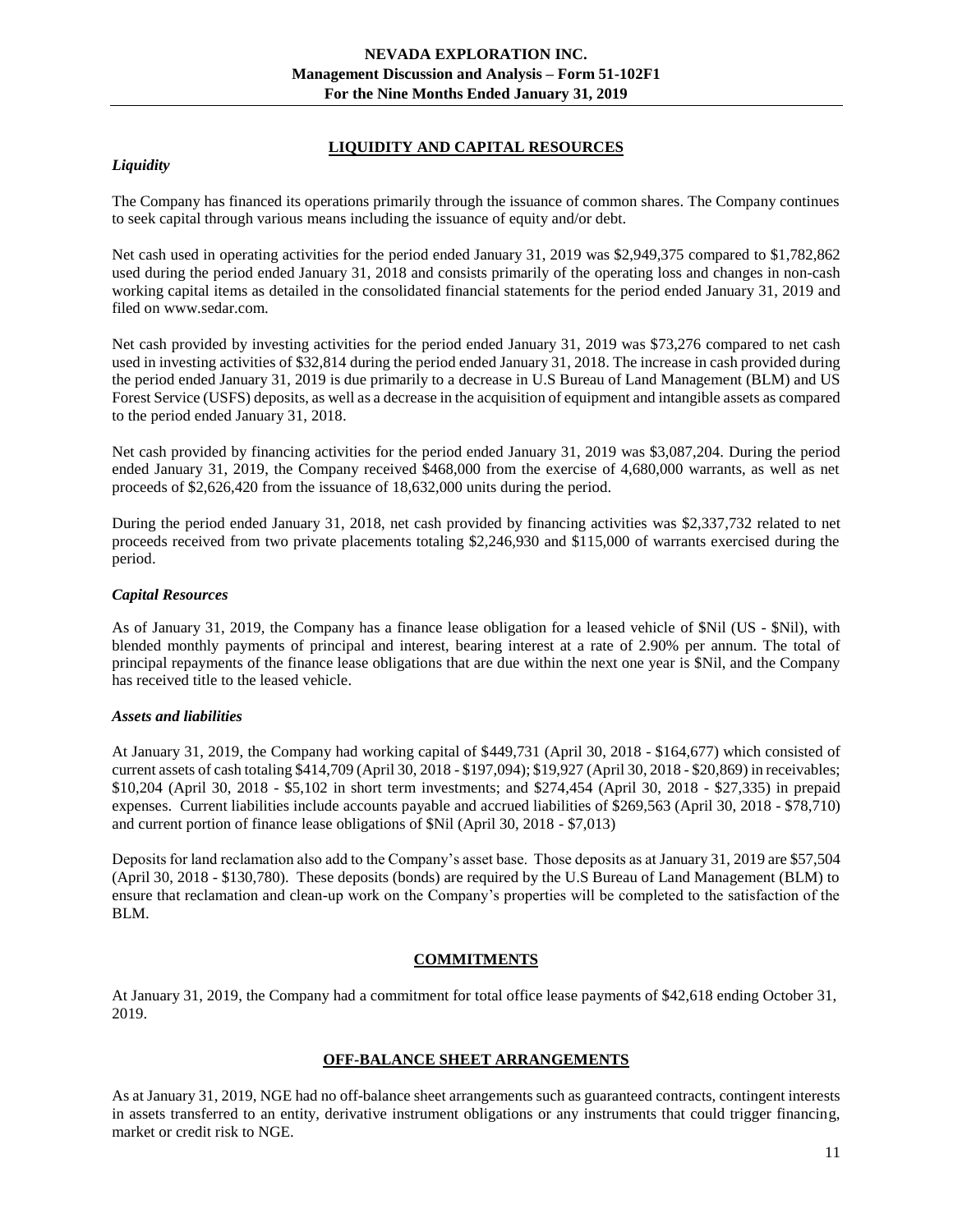## **LIQUIDITY AND CAPITAL RESOURCES**

## *Liquidity*

The Company has financed its operations primarily through the issuance of common shares. The Company continues to seek capital through various means including the issuance of equity and/or debt.

Net cash used in operating activities for the period ended January 31, 2019 was \$2,949,375 compared to \$1,782,862 used during the period ended January 31, 2018 and consists primarily of the operating loss and changes in non-cash working capital items as detailed in the consolidated financial statements for the period ended January 31, 2019 and filed on www.sedar.com.

Net cash provided by investing activities for the period ended January 31, 2019 was \$73,276 compared to net cash used in investing activities of \$32,814 during the period ended January 31, 2018. The increase in cash provided during the period ended January 31, 2019 is due primarily to a decrease in U.S Bureau of Land Management (BLM) and US Forest Service (USFS) deposits, as well as a decrease in the acquisition of equipment and intangible assets as compared to the period ended January 31, 2018.

Net cash provided by financing activities for the period ended January 31, 2019 was \$3,087,204. During the period ended January 31, 2019, the Company received \$468,000 from the exercise of 4,680,000 warrants, as well as net proceeds of \$2,626,420 from the issuance of 18,632,000 units during the period.

During the period ended January 31, 2018, net cash provided by financing activities was \$2,337,732 related to net proceeds received from two private placements totaling \$2,246,930 and \$115,000 of warrants exercised during the period.

## *Capital Resources*

As of January 31, 2019, the Company has a finance lease obligation for a leased vehicle of \$Nil (US - \$Nil), with blended monthly payments of principal and interest, bearing interest at a rate of 2.90% per annum. The total of principal repayments of the finance lease obligations that are due within the next one year is \$Nil, and the Company has received title to the leased vehicle.

## *Assets and liabilities*

At January 31, 2019, the Company had working capital of \$449,731 (April 30, 2018 - \$164,677) which consisted of current assets of cash totaling \$414,709 (April 30, 2018 - \$197,094); \$19,927 (April 30, 2018 - \$20,869) in receivables; \$10,204 (April 30, 2018 - \$5,102 in short term investments; and \$274,454 (April 30, 2018 - \$27,335) in prepaid expenses. Current liabilities include accounts payable and accrued liabilities of \$269,563 (April 30, 2018 - \$78,710) and current portion of finance lease obligations of \$Nil (April 30, 2018 - \$7,013)

Deposits for land reclamation also add to the Company's asset base. Those deposits as at January 31, 2019 are \$57,504 (April 30, 2018 - \$130,780). These deposits (bonds) are required by the U.S Bureau of Land Management (BLM) to ensure that reclamation and clean-up work on the Company's properties will be completed to the satisfaction of the BLM.

# **COMMITMENTS**

<span id="page-10-1"></span><span id="page-10-0"></span>At January 31, 2019, the Company had a commitment for total office lease payments of \$42,618 ending October 31, 2019.

# **OFF-BALANCE SHEET ARRANGEMENTS**

As at January 31, 2019, NGE had no off-balance sheet arrangements such as guaranteed contracts, contingent interests in assets transferred to an entity, derivative instrument obligations or any instruments that could trigger financing, market or credit risk to NGE.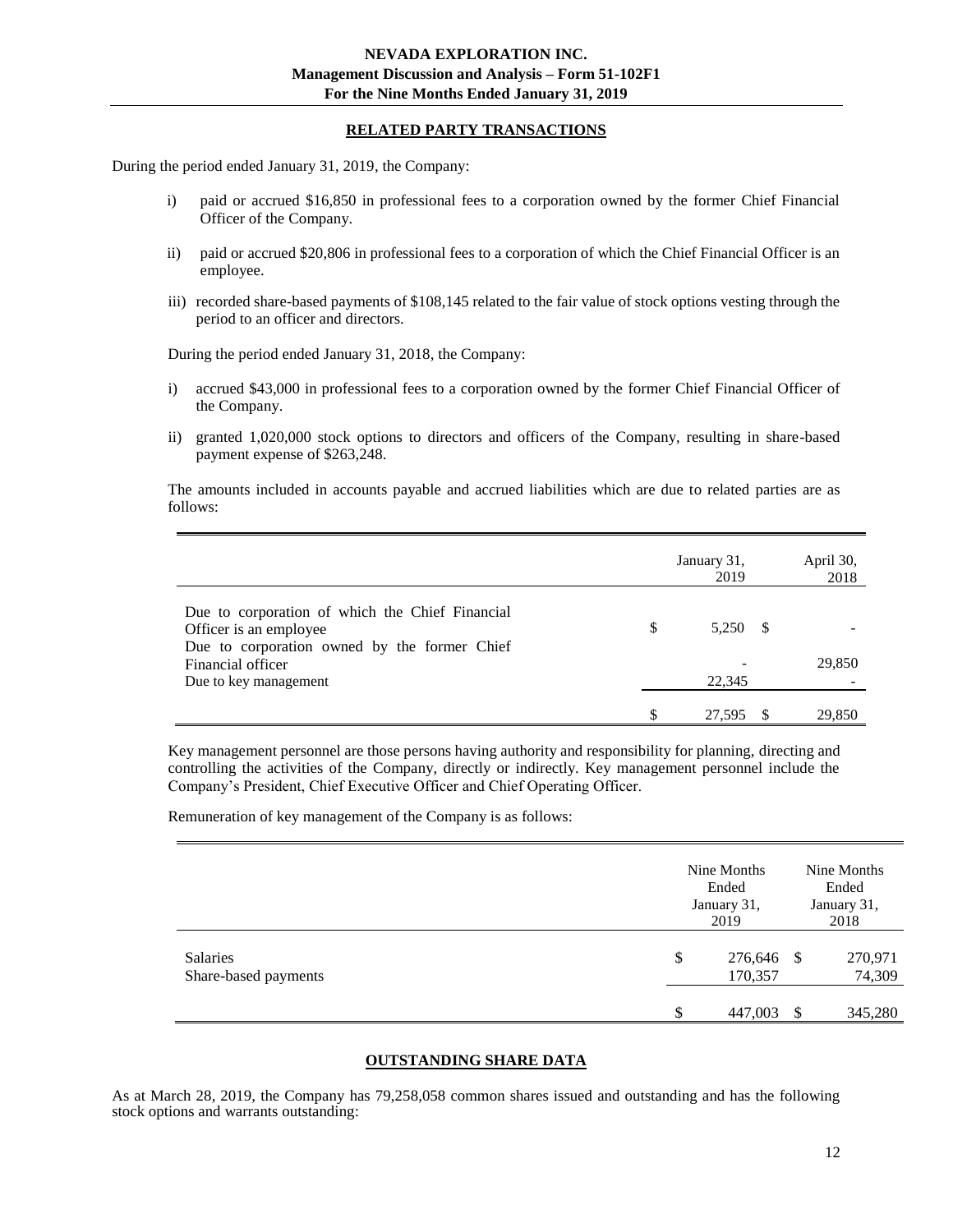## **RELATED PARTY TRANSACTIONS**

<span id="page-11-0"></span>During the period ended January 31, 2019, the Company:

- i) paid or accrued \$16,850 in professional fees to a corporation owned by the former Chief Financial Officer of the Company.
- ii) paid or accrued \$20,806 in professional fees to a corporation of which the Chief Financial Officer is an employee.
- iii) recorded share-based payments of \$108,145 related to the fair value of stock options vesting through the period to an officer and directors.

During the period ended January 31, 2018, the Company:

- i) accrued \$43,000 in professional fees to a corporation owned by the former Chief Financial Officer of the Company.
- ii) granted 1,020,000 stock options to directors and officers of the Company, resulting in share-based payment expense of \$263,248.

The amounts included in accounts payable and accrued liabilities which are due to related parties are as follows:

|                                                                                                                                                                         |               | January 31,<br>2019 | April 30,<br>2018 |
|-------------------------------------------------------------------------------------------------------------------------------------------------------------------------|---------------|---------------------|-------------------|
| Due to corporation of which the Chief Financial<br>Officer is an employee<br>Due to corporation owned by the former Chief<br>Financial officer<br>Due to key management | <sup>\$</sup> | 5.250 \$<br>22,345  | 29,850            |
|                                                                                                                                                                         |               | 27,595              | 29,850            |

Key management personnel are those persons having authority and responsibility for planning, directing and controlling the activities of the Company, directly or indirectly. Key management personnel include the Company's President, Chief Executive Officer and Chief Operating Officer.

Remuneration of key management of the Company is as follows:

|                                         |         | Nine Months<br>Ended<br>January 31,<br>2019 | Nine Months<br>Ended<br>January 31,<br>2018 |
|-----------------------------------------|---------|---------------------------------------------|---------------------------------------------|
| <b>Salaries</b><br>Share-based payments | \$<br>¢ | 276,646<br>170,357<br>447,003               | 270,971<br>- \$<br>74,309<br>345,280<br>-\$ |

## **OUTSTANDING SHARE DATA**

<span id="page-11-1"></span>As at March 28, 2019, the Company has 79,258,058 common shares issued and outstanding and has the following stock options and warrants outstanding: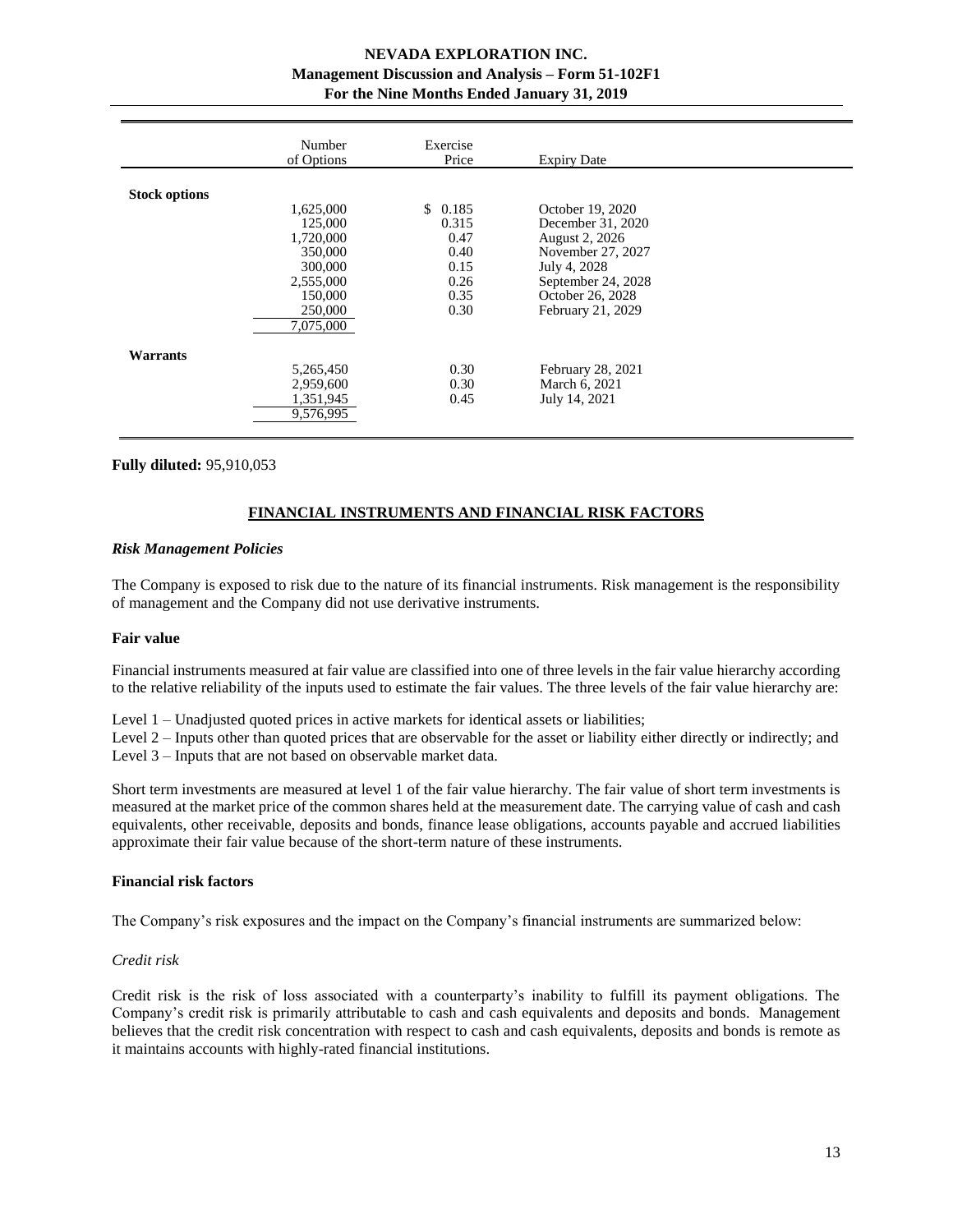# **NEVADA EXPLORATION INC. Management Discussion and Analysis – Form 51-102F1 For the Nine Months Ended January 31, 2019**

|                      | Number<br>of Options | Exercise<br>Price | <b>Expiry Date</b> |  |
|----------------------|----------------------|-------------------|--------------------|--|
|                      |                      |                   |                    |  |
| <b>Stock options</b> |                      |                   |                    |  |
|                      | 1,625,000            | \$0.185           | October 19, 2020   |  |
|                      | 125,000              | 0.315             | December 31, 2020  |  |
|                      | 1,720,000            | 0.47              | August 2, 2026     |  |
|                      | 350,000              | 0.40              | November 27, 2027  |  |
|                      | 300,000              | 0.15              | July 4, 2028       |  |
|                      | 2,555,000            | 0.26              | September 24, 2028 |  |
|                      | 150,000              | 0.35              | October 26, 2028   |  |
|                      | 250,000              | 0.30              | February 21, 2029  |  |
|                      | 7,075,000            |                   |                    |  |
| <b>Warrants</b>      |                      |                   |                    |  |
|                      | 5,265,450            | 0.30              | February 28, 2021  |  |
|                      | 2,959,600            | 0.30              | March 6, 2021      |  |
|                      | 1,351,945            | 0.45              | July 14, 2021      |  |
|                      | 9.576.995            |                   |                    |  |

#### <span id="page-12-0"></span>**Fully diluted:** 95,910,053

## **FINANCIAL INSTRUMENTS AND FINANCIAL RISK FACTORS**

#### *Risk Management Policies*

The Company is exposed to risk due to the nature of its financial instruments. Risk management is the responsibility of management and the Company did not use derivative instruments.

#### **Fair value**

Financial instruments measured at fair value are classified into one of three levels in the fair value hierarchy according to the relative reliability of the inputs used to estimate the fair values. The three levels of the fair value hierarchy are:

Level 1 – Unadjusted quoted prices in active markets for identical assets or liabilities;

Level 2 – Inputs other than quoted prices that are observable for the asset or liability either directly or indirectly; and Level 3 – Inputs that are not based on observable market data.

Short term investments are measured at level 1 of the fair value hierarchy. The fair value of short term investments is measured at the market price of the common shares held at the measurement date. The carrying value of cash and cash equivalents, other receivable, deposits and bonds, finance lease obligations, accounts payable and accrued liabilities approximate their fair value because of the short-term nature of these instruments.

## **Financial risk factors**

The Company's risk exposures and the impact on the Company's financial instruments are summarized below:

#### *Credit risk*

Credit risk is the risk of loss associated with a counterparty's inability to fulfill its payment obligations. The Company's credit risk is primarily attributable to cash and cash equivalents and deposits and bonds. Management believes that the credit risk concentration with respect to cash and cash equivalents, deposits and bonds is remote as it maintains accounts with highly-rated financial institutions.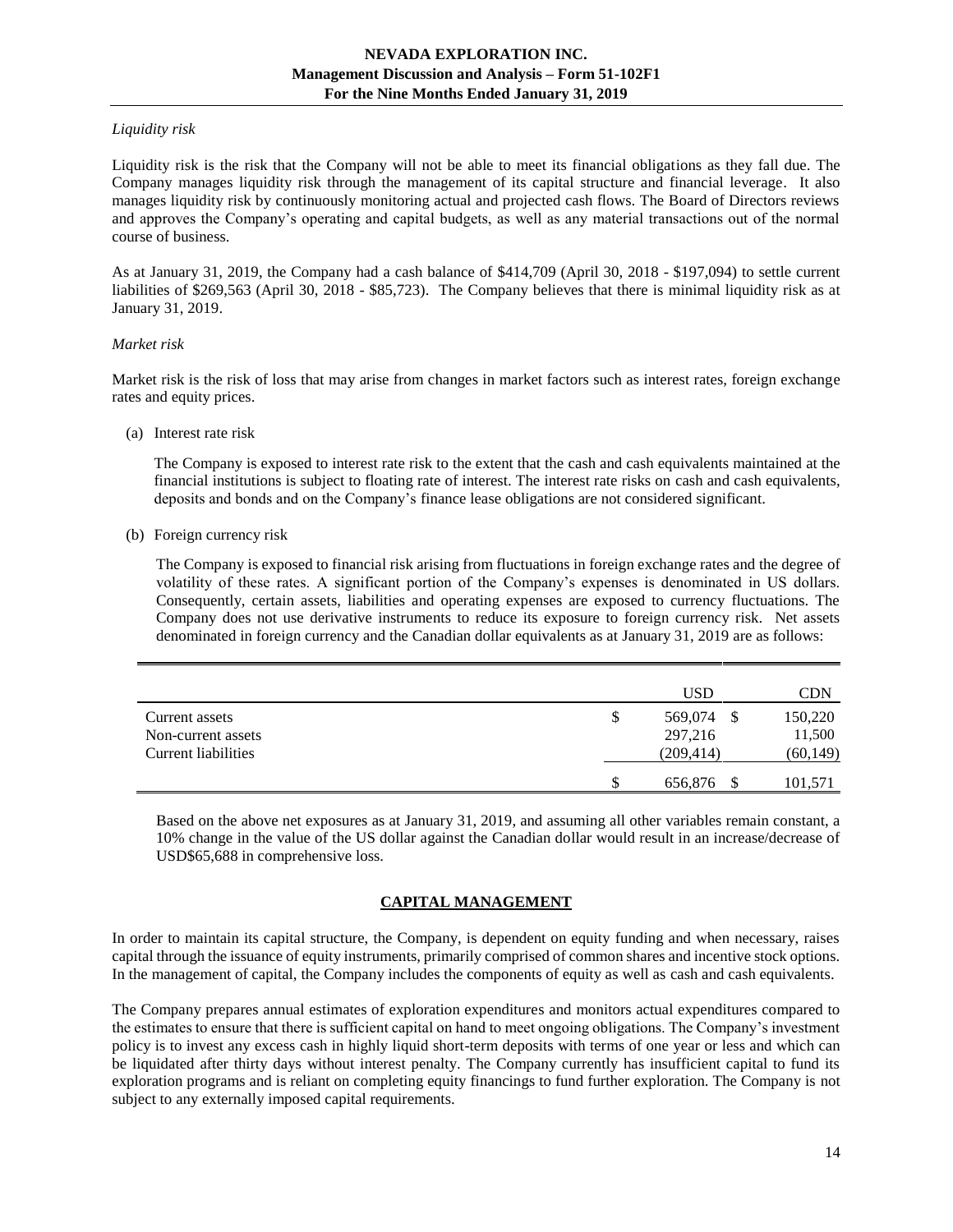## *Liquidity risk*

Liquidity risk is the risk that the Company will not be able to meet its financial obligations as they fall due. The Company manages liquidity risk through the management of its capital structure and financial leverage. It also manages liquidity risk by continuously monitoring actual and projected cash flows. The Board of Directors reviews and approves the Company's operating and capital budgets, as well as any material transactions out of the normal course of business.

As at January 31, 2019, the Company had a cash balance of \$414,709 (April 30, 2018 - \$197,094) to settle current liabilities of \$269,563 (April 30, 2018 - \$85,723). The Company believes that there is minimal liquidity risk as at January 31, 2019.

## *Market risk*

Market risk is the risk of loss that may arise from changes in market factors such as interest rates, foreign exchange rates and equity prices.

#### (a) Interest rate risk

The Company is exposed to interest rate risk to the extent that the cash and cash equivalents maintained at the financial institutions is subject to floating rate of interest. The interest rate risks on cash and cash equivalents, deposits and bonds and on the Company's finance lease obligations are not considered significant.

#### (b) Foreign currency risk

The Company is exposed to financial risk arising from fluctuations in foreign exchange rates and the degree of volatility of these rates. A significant portion of the Company's expenses is denominated in US dollars. Consequently, certain assets, liabilities and operating expenses are exposed to currency fluctuations. The Company does not use derivative instruments to reduce its exposure to foreign currency risk. Net assets denominated in foreign currency and the Canadian dollar equivalents as at January 31, 2019 are as follows:

|                     | <b>USD</b>         | CDN       |
|---------------------|--------------------|-----------|
| Current assets      | \$<br>569,074<br>S | 150,220   |
| Non-current assets  | 297,216            | 11,500    |
| Current liabilities | (209, 414)         | (60, 149) |
|                     | 656,876            | 101,571   |

Based on the above net exposures as at January 31, 2019, and assuming all other variables remain constant, a 10% change in the value of the US dollar against the Canadian dollar would result in an increase/decrease of USD\$65,688 in comprehensive loss.

## **CAPITAL MANAGEMENT**

<span id="page-13-0"></span>In order to maintain its capital structure, the Company, is dependent on equity funding and when necessary, raises capital through the issuance of equity instruments, primarily comprised of common shares and incentive stock options. In the management of capital, the Company includes the components of equity as well as cash and cash equivalents.

The Company prepares annual estimates of exploration expenditures and monitors actual expenditures compared to the estimates to ensure that there is sufficient capital on hand to meet ongoing obligations. The Company's investment policy is to invest any excess cash in highly liquid short-term deposits with terms of one year or less and which can be liquidated after thirty days without interest penalty. The Company currently has insufficient capital to fund its exploration programs and is reliant on completing equity financings to fund further exploration. The Company is not subject to any externally imposed capital requirements.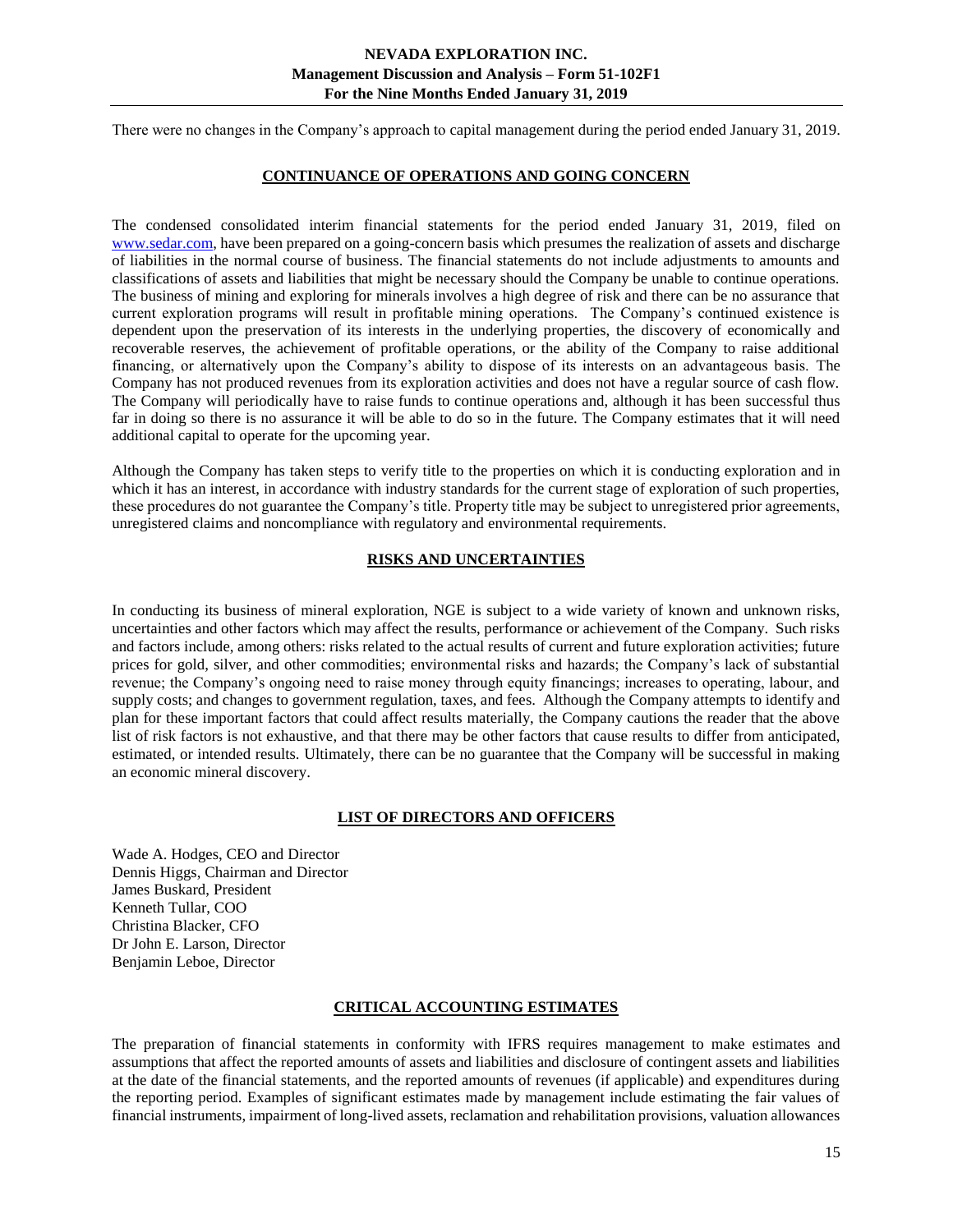<span id="page-14-0"></span>There were no changes in the Company's approach to capital management during the period ended January 31, 2019.

## **CONTINUANCE OF OPERATIONS AND GOING CONCERN**

The condensed consolidated interim financial statements for the period ended January 31, 2019, filed on [www.sedar.com,](http://www.sedar.com/) have been prepared on a going-concern basis which presumes the realization of assets and discharge of liabilities in the normal course of business. The financial statements do not include adjustments to amounts and classifications of assets and liabilities that might be necessary should the Company be unable to continue operations. The business of mining and exploring for minerals involves a high degree of risk and there can be no assurance that current exploration programs will result in profitable mining operations. The Company's continued existence is dependent upon the preservation of its interests in the underlying properties, the discovery of economically and recoverable reserves, the achievement of profitable operations, or the ability of the Company to raise additional financing, or alternatively upon the Company's ability to dispose of its interests on an advantageous basis. The Company has not produced revenues from its exploration activities and does not have a regular source of cash flow. The Company will periodically have to raise funds to continue operations and, although it has been successful thus far in doing so there is no assurance it will be able to do so in the future. The Company estimates that it will need additional capital to operate for the upcoming year.

Although the Company has taken steps to verify title to the properties on which it is conducting exploration and in which it has an interest, in accordance with industry standards for the current stage of exploration of such properties, these procedures do not guarantee the Company's title. Property title may be subject to unregistered prior agreements, unregistered claims and noncompliance with regulatory and environmental requirements.

# **RISKS AND UNCERTAINTIES**

<span id="page-14-1"></span>In conducting its business of mineral exploration, NGE is subject to a wide variety of known and unknown risks, uncertainties and other factors which may affect the results, performance or achievement of the Company. Such risks and factors include, among others: risks related to the actual results of current and future exploration activities; future prices for gold, silver, and other commodities; environmental risks and hazards; the Company's lack of substantial revenue; the Company's ongoing need to raise money through equity financings; increases to operating, labour, and supply costs; and changes to government regulation, taxes, and fees. Although the Company attempts to identify and plan for these important factors that could affect results materially, the Company cautions the reader that the above list of risk factors is not exhaustive, and that there may be other factors that cause results to differ from anticipated, estimated, or intended results. Ultimately, there can be no guarantee that the Company will be successful in making an economic mineral discovery.

## **LIST OF DIRECTORS AND OFFICERS**

<span id="page-14-2"></span>Wade A. Hodges, CEO and Director Dennis Higgs, Chairman and Director James Buskard, President Kenneth Tullar, COO Christina Blacker, CFO Dr John E. Larson, Director Benjamin Leboe, Director

## **CRITICAL ACCOUNTING ESTIMATES**

<span id="page-14-3"></span>The preparation of financial statements in conformity with IFRS requires management to make estimates and assumptions that affect the reported amounts of assets and liabilities and disclosure of contingent assets and liabilities at the date of the financial statements, and the reported amounts of revenues (if applicable) and expenditures during the reporting period. Examples of significant estimates made by management include estimating the fair values of financial instruments, impairment of long-lived assets, reclamation and rehabilitation provisions, valuation allowances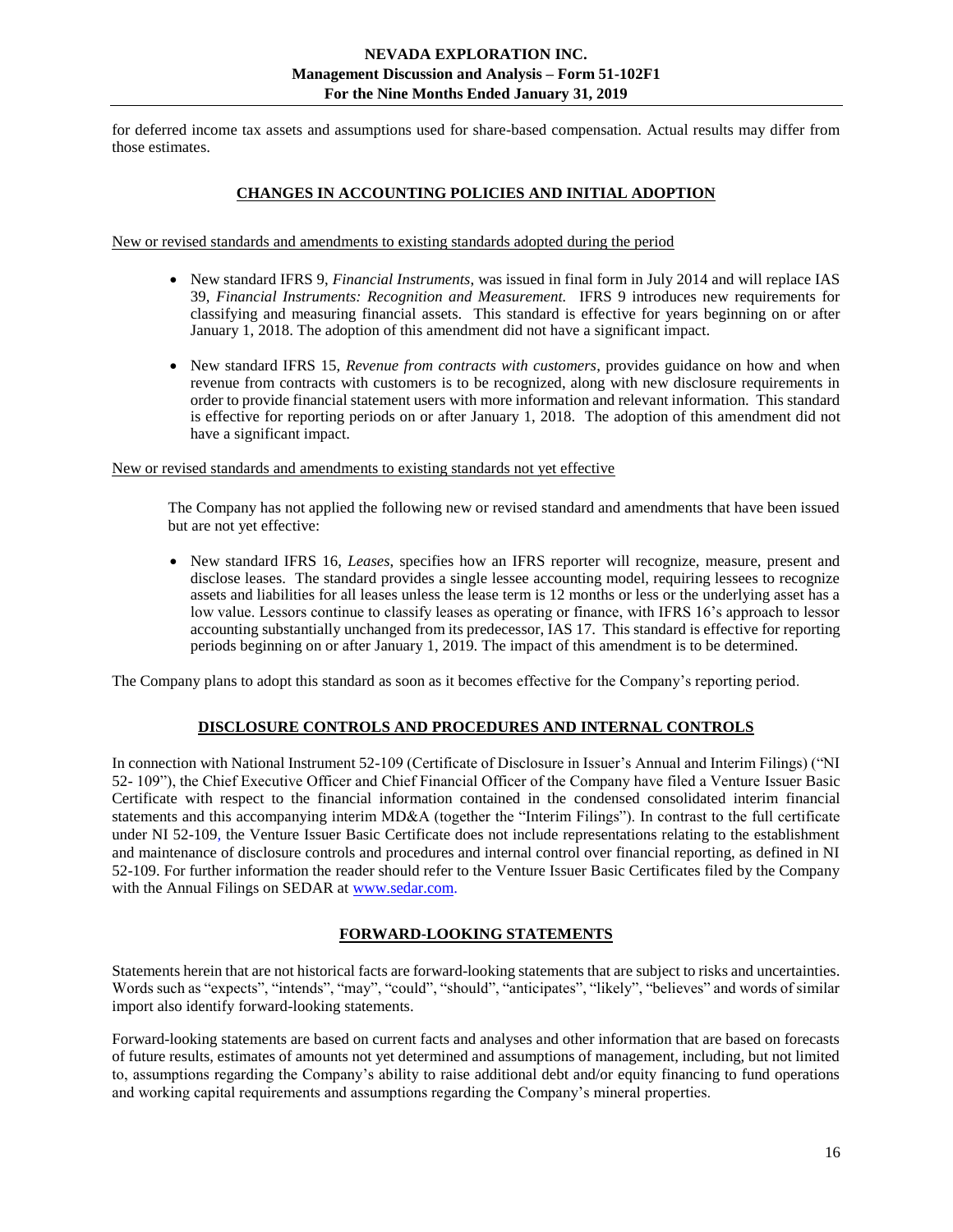<span id="page-15-0"></span>for deferred income tax assets and assumptions used for share-based compensation. Actual results may differ from those estimates.

# **CHANGES IN ACCOUNTING POLICIES AND INITIAL ADOPTION**

New or revised standards and amendments to existing standards adopted during the period

- New standard IFRS 9, *Financial Instruments*, was issued in final form in July 2014 and will replace IAS 39, *Financial Instruments: Recognition and Measurement.* IFRS 9 introduces new requirements for classifying and measuring financial assets. This standard is effective for years beginning on or after January 1, 2018. The adoption of this amendment did not have a significant impact.
- New standard IFRS 15, *Revenue from contracts with customers*, provides guidance on how and when revenue from contracts with customers is to be recognized, along with new disclosure requirements in order to provide financial statement users with more information and relevant information. This standard is effective for reporting periods on or after January 1, 2018. The adoption of this amendment did not have a significant impact.

New or revised standards and amendments to existing standards not yet effective

The Company has not applied the following new or revised standard and amendments that have been issued but are not yet effective:

• New standard IFRS 16, *Leases*, specifies how an IFRS reporter will recognize, measure, present and disclose leases. The standard provides a single lessee accounting model, requiring lessees to recognize assets and liabilities for all leases unless the lease term is 12 months or less or the underlying asset has a low value. Lessors continue to classify leases as operating or finance, with IFRS 16's approach to lessor accounting substantially unchanged from its predecessor, IAS 17. This standard is effective for reporting periods beginning on or after January 1, 2019. The impact of this amendment is to be determined.

<span id="page-15-1"></span>The Company plans to adopt this standard as soon as it becomes effective for the Company's reporting period.

## **DISCLOSURE CONTROLS AND PROCEDURES AND INTERNAL CONTROLS**

In connection with National Instrument 52-109 (Certificate of Disclosure in Issuer's Annual and Interim Filings) ("NI 52- 109"), the Chief Executive Officer and Chief Financial Officer of the Company have filed a Venture Issuer Basic Certificate with respect to the financial information contained in the condensed consolidated interim financial statements and this accompanying interim MD&A (together the "Interim Filings"). In contrast to the full certificate under NI 52-109, the Venture Issuer Basic Certificate does not include representations relating to the establishment and maintenance of disclosure controls and procedures and internal control over financial reporting, as defined in NI 52-109. For further information the reader should refer to the Venture Issuer Basic Certificates filed by the Company with the Annual Filings on SEDAR a[t www.sedar.com.](http://www.sedar.com/)

#### **FORWARD-LOOKING STATEMENTS**

<span id="page-15-2"></span>Statements herein that are not historical facts are forward-looking statements that are subject to risks and uncertainties. Words such as "expects", "intends", "may", "could", "should", "anticipates", "likely", "believes" and words of similar import also identify forward-looking statements.

Forward-looking statements are based on current facts and analyses and other information that are based on forecasts of future results, estimates of amounts not yet determined and assumptions of management, including, but not limited to, assumptions regarding the Company's ability to raise additional debt and/or equity financing to fund operations and working capital requirements and assumptions regarding the Company's mineral properties.